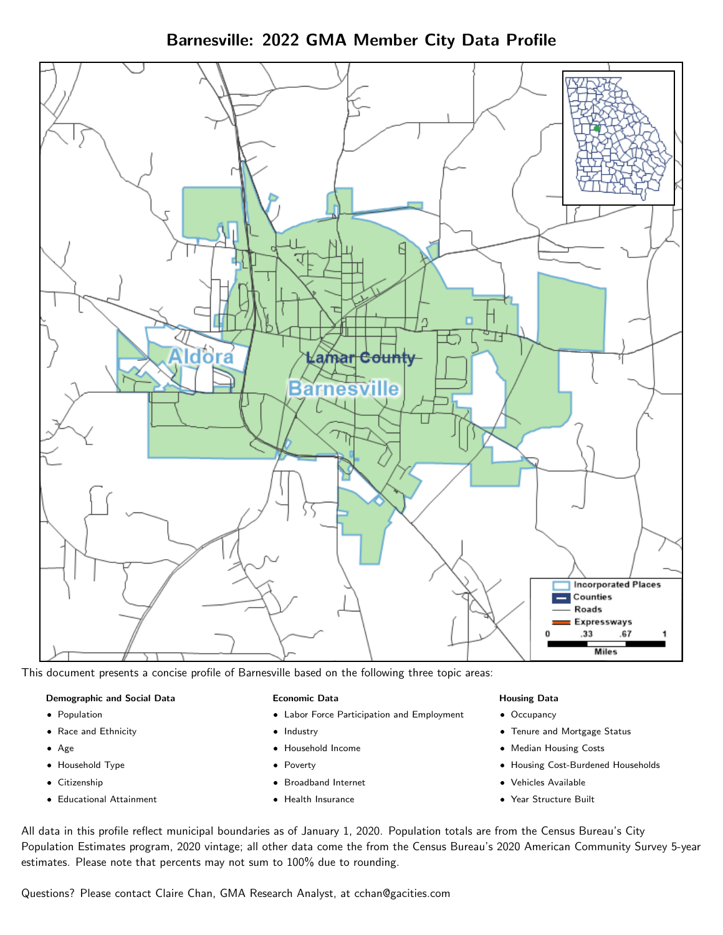Barnesville: 2022 GMA Member City Data Profile



This document presents a concise profile of Barnesville based on the following three topic areas:

#### Demographic and Social Data

- **•** Population
- Race and Ethnicity
- Age
- Household Type
- **Citizenship**
- Educational Attainment

#### Economic Data

- Labor Force Participation and Employment
- Industry
- Household Income
- Poverty
- Broadband Internet
- Health Insurance

#### Housing Data

- Occupancy
- Tenure and Mortgage Status
- Median Housing Costs
- Housing Cost-Burdened Households
- Vehicles Available
- Year Structure Built

All data in this profile reflect municipal boundaries as of January 1, 2020. Population totals are from the Census Bureau's City Population Estimates program, 2020 vintage; all other data come the from the Census Bureau's 2020 American Community Survey 5-year estimates. Please note that percents may not sum to 100% due to rounding.

Questions? Please contact Claire Chan, GMA Research Analyst, at [cchan@gacities.com.](mailto:cchan@gacities.com)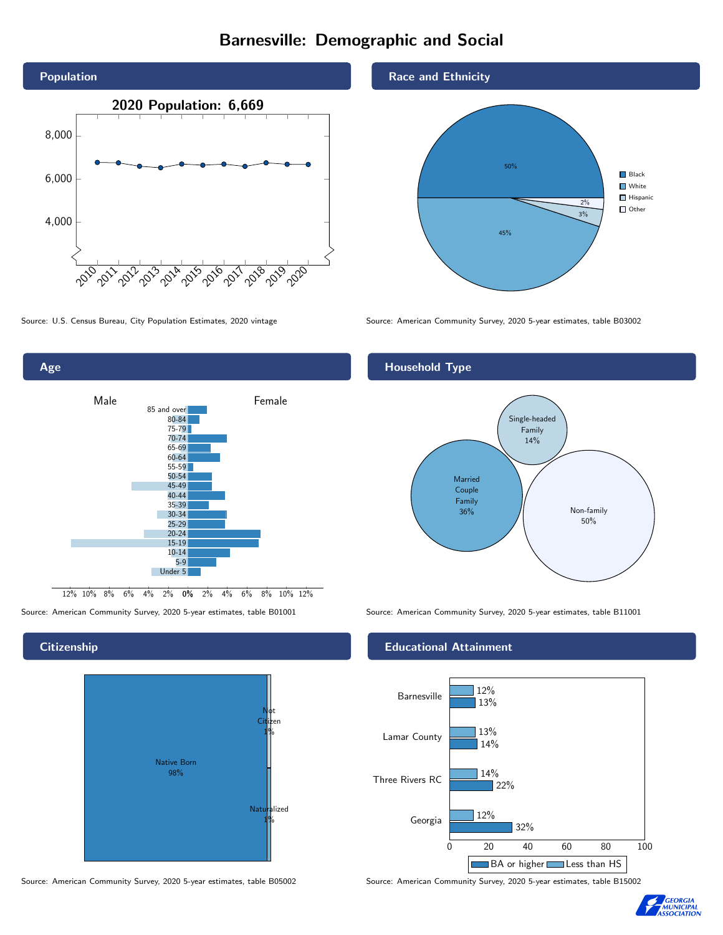# Barnesville: Demographic and Social





#### **Citizenship**





Race and Ethnicity



Source: U.S. Census Bureau, City Population Estimates, 2020 vintage Source: American Community Survey, 2020 5-year estimates, table B03002

#### Household Type



Source: American Community Survey, 2020 5-year estimates, table B01001 Source: American Community Survey, 2020 5-year estimates, table B11001

#### Educational Attainment



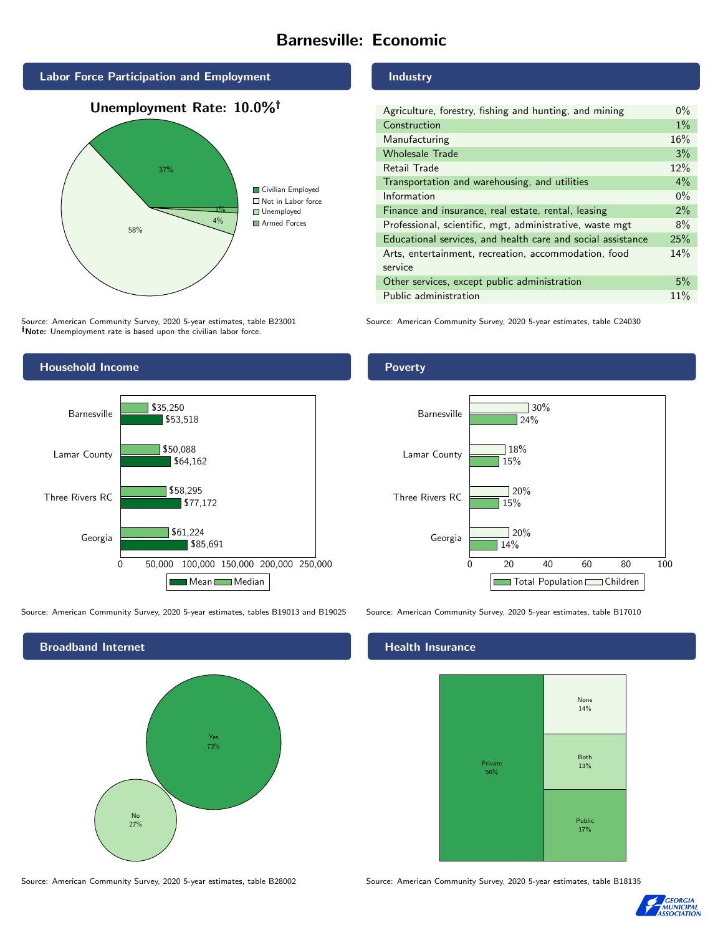## Barnesville: Economic







Source: American Community Survey, 2020 5-year estimates, table B23001 Note: Unemployment rate is based upon the civilian labor force.



Source: American Community Survey, 2020 5-year estimates, tables B19013 and B19025 Source: American Community Survey, 2020 5-year estimates, table B17010



#### Industry

| Agriculture, forestry, fishing and hunting, and mining      | $0\%$ |
|-------------------------------------------------------------|-------|
| Construction                                                | $1\%$ |
| Manufacturing                                               | 16%   |
| <b>Wholesale Trade</b>                                      | 3%    |
| Retail Trade                                                | 12%   |
| Transportation and warehousing, and utilities               | $4\%$ |
| Information                                                 | $0\%$ |
| Finance and insurance, real estate, rental, leasing         | 2%    |
| Professional, scientific, mgt, administrative, waste mgt    | 8%    |
| Educational services, and health care and social assistance | 25%   |
| Arts, entertainment, recreation, accommodation, food        | 14%   |
| service                                                     |       |
| Other services, except public administration                | 5%    |
| Public administration                                       | 11%   |

Source: American Community Survey, 2020 5-year estimates, table C24030

#### Poverty



#### **Health Insurance**



Source: American Community Survey, 2020 5-year estimates, table B28002 Source: American Community Survey, 2020 5-year estimates, table B18135